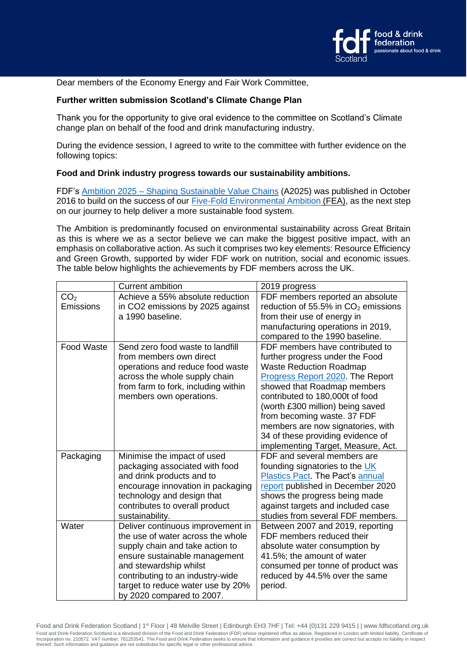

Dear members of the Economy Energy and Fair Work Committee,

## **Further written submission Scotland's Climate Change Plan**

Thank you for the opportunity to give oral evidence to the committee on Scotland's Climate change plan on behalf of the food and drink manufacturing industry.

During the evidence session, I agreed to write to the committee with further evidence on the following topics:

## **Food and Drink industry progress towards our sustainability ambitions.**

FDF's Ambition 2025 – [Shaping Sustainable Value Chains](http://www.fdf.org.uk/sustainability-ambition2025.aspx) (A2025) was published in October 2016 to build on the success of our **[Five-Fold Environmental Ambition](https://www.fdf.org.uk/environment_progress_report.aspx) (FEA)**, as the next step on our journey to help deliver a more sustainable food system.

The Ambition is predominantly focused on environmental sustainability across Great Britain as this is where we as a sector believe we can make the biggest positive impact, with an emphasis on collaborative action. As such it comprises two key elements: Resource Efficiency and Green Growth, supported by wider FDF work on nutrition, social and economic issues. The table below highlights the achievements by FDF members across the UK.

|                   | <b>Current ambition</b>             | 2019 progress                         |
|-------------------|-------------------------------------|---------------------------------------|
| CO <sub>2</sub>   | Achieve a 55% absolute reduction    | FDF members reported an absolute      |
| Emissions         | in CO2 emissions by 2025 against    | reduction of 55.5% in $CO2$ emissions |
|                   | a 1990 baseline.                    | from their use of energy in           |
|                   |                                     | manufacturing operations in 2019,     |
|                   |                                     | compared to the 1990 baseline.        |
| <b>Food Waste</b> | Send zero food waste to landfill    | FDF members have contributed to       |
|                   | from members own direct             | further progress under the Food       |
|                   | operations and reduce food waste    | <b>Waste Reduction Roadmap</b>        |
|                   | across the whole supply chain       | Progress Report 2020. The Report      |
|                   | from farm to fork, including within | showed that Roadmap members           |
|                   | members own operations.             | contributed to 180,000t of food       |
|                   |                                     | (worth £300 million) being saved      |
|                   |                                     | from becoming waste. 37 FDF           |
|                   |                                     | members are now signatories, with     |
|                   |                                     | 34 of these providing evidence of     |
|                   |                                     | implementing Target, Measure, Act.    |
| Packaging         | Minimise the impact of used         | FDF and several members are           |
|                   | packaging associated with food      | founding signatories to the UK        |
|                   | and drink products and to           | Plastics Pact. The Pact's annual      |
|                   | encourage innovation in packaging   | report published in December 2020     |
|                   | technology and design that          | shows the progress being made         |
|                   | contributes to overall product      | against targets and included case     |
|                   | sustainability.                     | studies from several FDF members.     |
| Water             | Deliver continuous improvement in   | Between 2007 and 2019, reporting      |
|                   | the use of water across the whole   | FDF members reduced their             |
|                   | supply chain and take action to     | absolute water consumption by         |
|                   | ensure sustainable management       | 41.5%; the amount of water            |
|                   | and stewardship whilst              | consumed per tonne of product was     |
|                   | contributing to an industry-wide    | reduced by 44.5% over the same        |
|                   | target to reduce water use by 20%   | period.                               |
|                   | by 2020 compared to 2007.           |                                       |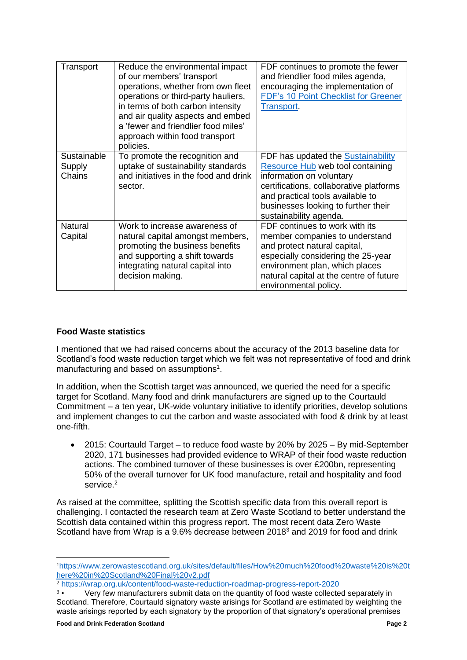| Transport                       | Reduce the environmental impact<br>of our members' transport<br>operations, whether from own fleet<br>operations or third-party hauliers,<br>in terms of both carbon intensity<br>and air quality aspects and embed<br>a 'fewer and friendlier food miles'<br>approach within food transport<br>policies. | FDF continues to promote the fewer<br>and friendlier food miles agenda,<br>encouraging the implementation of<br>FDF's 10 Point Checklist for Greener<br>Transport.                                                                                 |
|---------------------------------|-----------------------------------------------------------------------------------------------------------------------------------------------------------------------------------------------------------------------------------------------------------------------------------------------------------|----------------------------------------------------------------------------------------------------------------------------------------------------------------------------------------------------------------------------------------------------|
| Sustainable<br>Supply<br>Chains | To promote the recognition and<br>uptake of sustainability standards<br>and initiatives in the food and drink<br>sector.                                                                                                                                                                                  | FDF has updated the Sustainability<br>Resource Hub web tool containing<br>information on voluntary<br>certifications, collaborative platforms<br>and practical tools available to<br>businesses looking to further their<br>sustainability agenda. |
| Natural<br>Capital              | Work to increase awareness of<br>natural capital amongst members,<br>promoting the business benefits<br>and supporting a shift towards<br>integrating natural capital into<br>decision making.                                                                                                            | FDF continues to work with its<br>member companies to understand<br>and protect natural capital,<br>especially considering the 25-year<br>environment plan, which places<br>natural capital at the centre of future<br>environmental policy.       |

## **Food Waste statistics**

I mentioned that we had raised concerns about the accuracy of the 2013 baseline data for Scotland's food waste reduction target which we felt was not representative of food and drink manufacturing and based on assumptions<sup>1</sup>.

In addition, when the Scottish target was announced, we queried the need for a specific target for Scotland. Many food and drink manufacturers are signed up to the Courtauld Commitment – a ten year, UK-wide voluntary initiative to identify priorities, develop solutions and implement changes to cut the carbon and waste associated with food & drink by at least one-fifth.

• 2015: Courtauld Target – to reduce food waste by 20% by 2025 – By mid-September 2020, 171 businesses had provided evidence to WRAP of their food waste reduction actions. The combined turnover of these businesses is over £200bn, representing 50% of the overall turnover for UK food manufacture, retail and hospitality and food service.<sup>2</sup>

As raised at the committee, splitting the Scottish specific data from this overall report is challenging. I contacted the research team at Zero Waste Scotland to better understand the Scottish data contained within this progress report. The most recent data Zero Waste Scotland have from Wrap is a 9.6% decrease between 2018<sup>3</sup> and 2019 for food and drink

<sup>2</sup> <https://wrap.org.uk/content/food-waste-reduction-roadmap-progress-report-2020>

<sup>1</sup>[https://www.zerowastescotland.org.uk/sites/default/files/How%20much%20food%20waste%20is%20t](https://www.zerowastescotland.org.uk/sites/default/files/How%20much%20food%20waste%20is%20there%20in%20Scotland%20Final%20v2.pdf) [here%20in%20Scotland%20Final%20v2.pdf](https://www.zerowastescotland.org.uk/sites/default/files/How%20much%20food%20waste%20is%20there%20in%20Scotland%20Final%20v2.pdf)

 $3 \bullet$ • Very few manufacturers submit data on the quantity of food waste collected separately in Scotland. Therefore, Courtauld signatory waste arisings for Scotland are estimated by weighting the waste arisings reported by each signatory by the proportion of that signatory's operational premises